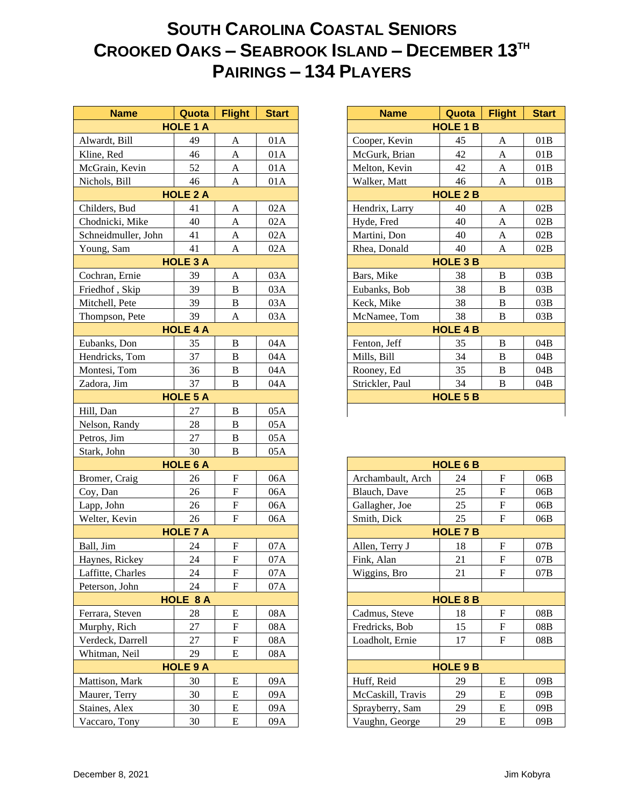## **SOUTH CAROLINA COASTAL SENIORS CROOKED OAKS – SEABROOK ISLAND – DECEMBER 13TH PAIRINGS – 134 PLAYERS**

| <b>Name</b>         | Quota           | <b>Flight</b>             | <b>Start</b> |
|---------------------|-----------------|---------------------------|--------------|
|                     | <b>HOLE 1 A</b> |                           |              |
| Alwardt, Bill       | 49              | A                         | 01A          |
| Kline, Red          | 46              | $\mathbf{A}$              | 01A          |
| McGrain, Kevin      | 52              | $\mathbf{A}$              | 01A          |
| Nichols, Bill       | 46              | $\mathbf{A}$              | 01A          |
|                     | <b>HOLE 2 A</b> |                           |              |
| Childers, Bud       | 41              | A                         | 02A          |
| Chodnicki, Mike     | 40              | A                         | 02A          |
| Schneidmuller, John | 41              | $\mathbf{A}$              | 02A          |
| Young, Sam          | 41              | $\mathbf{A}$              | 02A          |
|                     | <b>HOLE 3 A</b> |                           |              |
| Cochran, Ernie      | 39              | $\mathbf{A}$              | 03A          |
| Friedhof, Skip      | 39              | $\, {\bf B}$              | 03A          |
| Mitchell, Pete      | 39              | $\, {\bf B}$              | 03A          |
| Thompson, Pete      | 39              | $\mathbf{A}$              | 03A          |
|                     | <b>HOLE 4 A</b> |                           |              |
| Eubanks, Don        | 35              | $\bf{B}$                  | 04A          |
| Hendricks, Tom      | 37              | $\bf{B}$                  | 04A          |
| Montesi, Tom        | 36              | $\bf{B}$                  | 04A          |
| Zadora, Jim         | 37              | $\overline{B}$            | 04A          |
|                     | <b>HOLE 5 A</b> |                           |              |
| Hill, Dan           | 27              | $\bf{B}$                  | 05A          |
| Nelson, Randy       | 28              | $\bf{B}$                  | 05A          |
| Petros, Jim         | 27              | $\, {\bf B}$              | 05A          |
| Stark, John         | 30              | $\bf{B}$                  | 05A          |
|                     | <b>HOLE 6 A</b> |                           |              |
| Bromer, Craig       | 26              | ${\bf F}$                 | 06A          |
| Coy, Dan            | 26              | $\boldsymbol{\mathrm{F}}$ | 06A          |
| Lapp, John          | 26              | ${\bf F}$                 | 06A          |
| Welter, Kevin       | 26              | $\mathbf{F}$              | 06A          |
|                     | <b>HOLE 7 A</b> |                           |              |
| Ball, Jim           | 24              | $\boldsymbol{\mathrm{F}}$ | 07A          |
| Haynes, Rickey      | 24              | $\overline{F}$            | 07A          |
| Laffitte, Charles   | 24              | F                         | 07A          |
| Peterson, John      | 24              | ${\bf F}$                 | 07A          |
|                     | <b>HOLE 8 A</b> |                           |              |
| Ferrara, Steven     | 28              | E                         | 08A          |
| Murphy, Rich        | 27              | ${\bf F}$                 | 08A          |
| Verdeck, Darrell    | 27              | ${\bf F}$                 | 08A          |
| Whitman, Neil       | 29              | $\mathbf E$               | 08A          |
|                     | <b>HOLE 9 A</b> |                           |              |
| Mattison, Mark      | 30              | E                         | 09A          |
| Maurer, Terry       | 30              | E                         | 09A          |
| Staines, Alex       | 30              | ${\bf E}$                 | 09A          |
| Vaccaro, Tony       | 30              | ${\bf E}$                 | 09A          |

| <b>Name</b>     | Quota           | <b>Flight</b> | <b>Start</b>    | <b>Name</b>     | Quota           | <b>Flight</b> | <b>Start</b> |
|-----------------|-----------------|---------------|-----------------|-----------------|-----------------|---------------|--------------|
| <b>HOLE 1 A</b> |                 |               |                 | <b>HOLE 1 B</b> |                 |               |              |
| t, Bill         | 49              | A             | 01A             | Cooper, Kevin   | 45              | A             | 01B          |
| <b>d</b>        | 46              | A             | 01A             | McGurk, Brian   | 42              | A             | 01B          |
| n, Kevin        | 52              | A             | 01A             | Melton, Kevin   | 42              | A             | 01B          |
| , Bill          | 46              | A             | 01A             | Walker, Matt    | 46              | A             | 01B          |
|                 | <b>HOLE 2 A</b> |               |                 | <b>HOLE 2 B</b> |                 |               |              |
| s, Bud          | 41              | A             | 02A             | Hendrix, Larry  | 40              | A             | 02B          |
| cki, Mike       | 40              | A             | 02A             | Hyde, Fred      | 40              | A             | 02B          |
| lmuller, John   | 41              | A             | 02A             | Martini, Don    | 40              | A             | 02B          |
| Sam             | 41              | A             | 02A             | Rhea, Donald    | 40              | A             | 02B          |
| <b>HOLE 3 A</b> |                 |               | <b>HOLE 3 B</b> |                 |                 |               |              |
| n, Ernie        | 39              | A             | 03A             | Bars, Mike      | 38              | B             | 03B          |
| f, Skip         | 39              | B             | 03A             | Eubanks, Bob    | 38              | B             | 03B          |
| l, Pete         | 39              | B             | 03A             | Keck, Mike      | 38              | B             | 03B          |
| son, Pete       | 39              | A             | 03A             | McNamee, Tom    | 38              | B             | 03B          |
|                 | <b>HOLE 4 A</b> |               |                 |                 | <b>HOLE 4 B</b> |               |              |
| s, Don          | 35              | B             | 04A             | Fenton, Jeff    | 35              | B             | 04B          |
| ks, Tom         | 37              | B             | 04A             | Mills, Bill     | 34              | B             | 04B          |
| i, Tom          | 36              | B             | 04A             | Rooney, Ed      | 35              | B             | 04B          |
| Jim             | 37              | B             | 04A             | Strickler, Paul | 34              | B             | 04B          |
| <b>HOLE 5 A</b> |                 |               |                 | <b>HOLE 5 B</b> |                 |               |              |
| m               | 27              | $\mathbf B$   | 05A             |                 |                 |               |              |
|                 |                 |               |                 |                 |                 |               |              |

| <b>HOLE 6 B</b>   |    |   |     |  |  |  |  |
|-------------------|----|---|-----|--|--|--|--|
| Archambault, Arch | 24 | F | 06B |  |  |  |  |
| Blauch, Dave      | 25 | F | 06B |  |  |  |  |
| Gallagher, Joe    | 25 | F | 06B |  |  |  |  |
| Smith, Dick       | 25 | F | 06B |  |  |  |  |
| <b>HOLE 7 B</b>   |    |   |     |  |  |  |  |
| Allen, Terry J    | 18 | F | 07B |  |  |  |  |
| Fink, Alan        | 21 | F | 07B |  |  |  |  |
| Wiggins, Bro      | 21 | F | 07B |  |  |  |  |
|                   |    |   |     |  |  |  |  |
| <b>HOLE 8 B</b>   |    |   |     |  |  |  |  |
| Cadmus, Steve     | 18 | F | 08B |  |  |  |  |
| Fredricks, Bob    | 15 | F | 08B |  |  |  |  |
| Loadholt, Ernie   | 17 | F | 08B |  |  |  |  |
|                   |    |   |     |  |  |  |  |
| <b>HOLE 9 B</b>   |    |   |     |  |  |  |  |
| Huff, Reid        | 29 | E | 09B |  |  |  |  |
| McCaskill, Travis | 29 | E | 09B |  |  |  |  |
| Sprayberry, Sam   | 29 | E | 09B |  |  |  |  |
| Vaughn, George    | 29 | E | 09B |  |  |  |  |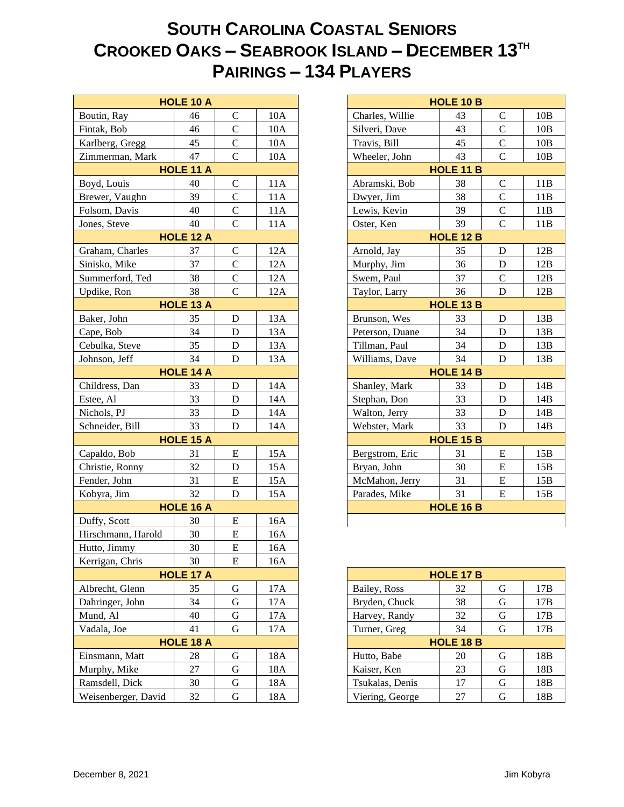## **SOUTH CAROLINA COASTAL SENIORS CROOKED OAKS – SEABROOK ISLAND – DECEMBER 13TH PAIRINGS – 134 PLAYERS**

|                                                   | <b>HOLE 10 A</b> |                |     |
|---------------------------------------------------|------------------|----------------|-----|
| Boutin, Ray                                       | 46               | $\mathsf{C}$   | 10A |
| Fintak, Bob                                       | 46               | $\overline{C}$ | 10A |
| Karlberg, Gregg                                   | 45               | $\overline{C}$ | 10A |
| Zimmerman, Mark                                   | 47               | $\mathbf C$    | 10A |
| <b>HOLE 11 A</b>                                  |                  |                |     |
| Boyd, Louis                                       | 40               | $\mathbf C$    | 11A |
| Brewer, Vaughn                                    | 39               | $\overline{C}$ | 11A |
| Folsom, Davis                                     | 40               | $\overline{C}$ | 11A |
| Jones, Steve                                      | 40               | $\mathbf C$    | 11A |
| 39<br>Oster, Ken<br>HOLE 12 B<br><b>HOLE 12 A</b> |                  |                |     |
| Graham, Charles                                   | 37               | $\mathbf C$    | 12A |
| Sinisko, Mike                                     | 37               | $\mathcal{C}$  | 12A |
| Summerford, Ted                                   | 38               | $\overline{C}$ | 12A |
| Updike, Ron                                       | 38               | $\overline{C}$ | 12A |
|                                                   | <b>HOLE 13 A</b> |                |     |
| Baker, John                                       | 35               | D              | 13A |
| Cape, Bob                                         | 34               | ${\bf D}$      | 13A |
| Cebulka, Steve                                    | 35               | ${\bf D}$      | 13A |
| Johnson, Jeff                                     | 34               | ${\bf D}$      | 13A |
|                                                   | <b>HOLE 14 A</b> |                |     |
| Childress, Dan                                    | 33               | $\mathbf D$    | 14A |
| Estee, Al                                         | 33               | ${\bf D}$      | 14A |
| Nichols, PJ                                       | 33               | ${\bf D}$      | 14A |
| Schneider, Bill                                   | 33               | D              | 14A |
|                                                   | HOLE 15 A        |                |     |
| Capaldo, Bob                                      | 31               | ${\bf E}$      | 15A |
| Christie, Ronny                                   | 32               | ${\bf D}$      | 15A |
| Fender, John                                      | 31               | ${\bf E}$      | 15A |
| Kobyra, Jim                                       | 32               | D              | 15A |
|                                                   | <b>HOLE 16 A</b> |                |     |
| Duffy, Scott                                      | 30               | ${\bf E}$      | 16A |
| Hirschmann, Harold                                | 30               | E              | 16A |
| Hutto, Jimmy                                      | 30               | ${\bf E}$      | 16A |
| Kerrigan, Chris                                   | 30               | ${\bf E}$      | 16A |
|                                                   | HOLE 17 A        |                |     |
| Albrecht, Glenn                                   | 35               | G              | 17A |
| Dahringer, John                                   | 34               | $\mathbf G$    | 17A |
| Mund, Al                                          | 40               | $\mathbf G$    | 17A |
| Vadala, Joe                                       | 41               | $\mathbf G$    | 17A |
|                                                   | <b>HOLE 18 A</b> |                |     |
| Einsmann, Matt                                    | 28               | G              | 18A |
| Murphy, Mike                                      | 27               | $\mathbf G$    | 18A |
| Ramsdell, Dick                                    | 30               | G              | 18A |
| Weisenberger, David                               | 32               | ${\bf G}$      | 18A |

| <b>HOLE 10 B</b> |                  |                    |     |  |  |  |  |
|------------------|------------------|--------------------|-----|--|--|--|--|
| Charles, Willie  | 43               | C                  | 10B |  |  |  |  |
| Silveri, Dave    | 43               | $\overline{C}$     | 10B |  |  |  |  |
| Travis, Bill     | 45               | $\overline{\rm C}$ | 10B |  |  |  |  |
| Wheeler, John    | 43               | $\overline{C}$     | 10B |  |  |  |  |
|                  | <b>HOLE 11 B</b> |                    |     |  |  |  |  |
| Abramski, Bob    | 38               | C                  | 11B |  |  |  |  |
| Dwyer, Jim       | 38               | $\overline{C}$     | 11B |  |  |  |  |
| Lewis, Kevin     | 39               | $\overline{C}$     | 11B |  |  |  |  |
| Oster, Ken       | 39               | $\overline{C}$     | 11B |  |  |  |  |
| <b>HOLE 12 B</b> |                  |                    |     |  |  |  |  |
| Arnold, Jay      | 35               | D                  | 12B |  |  |  |  |
| Murphy, Jim      | 36               | D                  | 12B |  |  |  |  |
| Swem, Paul       | 37               | $\overline{C}$     | 12B |  |  |  |  |
| Taylor, Larry    | 36               | D                  | 12B |  |  |  |  |
| <b>HOLE 13 B</b> |                  |                    |     |  |  |  |  |
| Brunson, Wes     | 33               | D                  | 13B |  |  |  |  |
| Peterson, Duane  | 34               | D                  | 13B |  |  |  |  |
| Tillman, Paul    | 34               | D                  | 13B |  |  |  |  |
| Williams, Dave   | 34               | D                  | 13B |  |  |  |  |
| <b>HOLE 14 B</b> |                  |                    |     |  |  |  |  |
| Shanley, Mark    | 33               | D                  | 14B |  |  |  |  |
| Stephan, Don     | 33               | D                  | 14B |  |  |  |  |
| Walton, Jerry    | 33               | D                  | 14B |  |  |  |  |
| Webster, Mark    | 33               | D                  | 14B |  |  |  |  |
| HOLE 15 B        |                  |                    |     |  |  |  |  |
| Bergstrom, Eric  | 31               | E                  | 15B |  |  |  |  |
| Bryan, John      | 30               | E                  | 15B |  |  |  |  |
| McMahon, Jerry   | 31               | E                  | 15B |  |  |  |  |
| Parades, Mike    | 31               | E                  | 15B |  |  |  |  |
| <b>HOLE 16 B</b> |                  |                    |     |  |  |  |  |
|                  |                  |                    |     |  |  |  |  |

| <b>HOLE 17 B</b> |    |   |                 |  |  |  |  |
|------------------|----|---|-----------------|--|--|--|--|
| Bailey, Ross     | 32 | G | 17B             |  |  |  |  |
| Bryden, Chuck    | 38 | G | 17B             |  |  |  |  |
| Harvey, Randy    | 32 | G | 17B             |  |  |  |  |
| Turner, Greg     | 34 | G | 17B             |  |  |  |  |
| <b>HOLE 18 B</b> |    |   |                 |  |  |  |  |
| Hutto, Babe      | 20 | G | 18 <sub>B</sub> |  |  |  |  |
| Kaiser, Ken      | 23 | G | 18 <sub>B</sub> |  |  |  |  |
| Tsukalas, Denis  | 17 | G | 18B             |  |  |  |  |
| Viering, George  | 27 | G | 18B             |  |  |  |  |